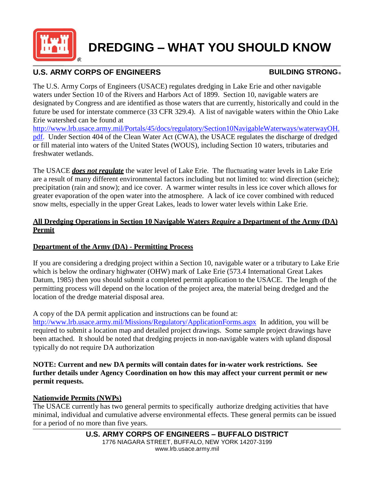

# **DREDGING – WHAT YOU SHOULD KNOW**

# **U.S. ARMY CORPS OF ENGINEERS BUILDING STRONG** ®

The U.S. Army Corps of Engineers (USACE) regulates dredging in Lake Erie and other navigable waters under Section 10 of the Rivers and Harbors Act of 1899. Section 10, navigable waters are designated by Congress and are identified as those waters that are currently, historically and could in the future be used for interstate commerce (33 CFR 329.4). A list of navigable waters within the Ohio Lake Erie watershed can be found at

[http://www.lrb.usace.army.mil/Portals/45/docs/regulatory/Section10NavigableWaterways/waterwayOH.](http://www.lrb.usace.army.mil/Portals/45/docs/regulatory/Section10NavigableWaterways/waterwayOH.pdf) [pdf.](http://www.lrb.usace.army.mil/Portals/45/docs/regulatory/Section10NavigableWaterways/waterwayOH.pdf) Under Section 404 of the Clean Water Act (CWA), the USACE regulates the discharge of dredged or fill material into waters of the United States (WOUS), including Section 10 waters, tributaries and freshwater wetlands.

The USACE *does not regulate* the water level of Lake Erie. The fluctuating water levels in Lake Erie are a result of many different environmental factors including but not limited to: wind direction (seiche); precipitation (rain and snow); and ice cover. A warmer winter results in less ice cover which allows for greater evaporation of the open water into the atmosphere. A lack of ice cover combined with reduced snow melts, especially in the upper Great Lakes, leads to lower water levels within Lake Erie.

#### **All Dredging Operations in Section 10 Navigable Waters** *Require* **a Department of the Army (DA) Permit**

# **Department of the Army (DA) - Permitting Process**

If you are considering a dredging project within a Section 10, navigable water or a tributary to Lake Erie which is below the ordinary highwater (OHW) mark of Lake Erie (573.4 International Great Lakes Datum, 1985) then you should submit a completed permit application to the USACE. The length of the permitting process will depend on the location of the project area, the material being dredged and the location of the dredge material disposal area.

A copy of the DA permit application and instructions can be found at:

<http://www.lrb.usace.army.mil/Missions/Regulatory/ApplicationForms.aspx> In addition, you will be required to submit a location map and detailed project drawings. Some sample project drawings have been attached. It should be noted that dredging projects in non-navigable waters with upland disposal typically do not require DA authorization

#### **NOTE: Current and new DA permits will contain dates for in-water work restrictions. See further details under Agency Coordination on how this may affect your current permit or new permit requests.**

# **Nationwide Permits (NWPs)**

The USACE currently has two general permits to specifically authorize dredging activities that have minimal, individual and cumulative adverse environmental effects. These general permits can be issued for a period of no more than five years.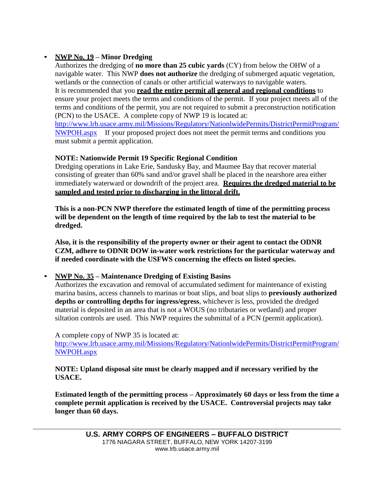# • **NWP No. 19 – Minor Dredging**

Authorizes the dredging of **no more than 25 cubic yards** (CY) from below the OHW of a navigable water. This NWP **does not authorize** the dredging of submerged aquatic vegetation, wetlands or the connection of canals or other artificial waterways to navigable waters. It is recommended that you **read the entire permit all general and regional conditions** to ensure your project meets the terms and conditions of the permit. If your project meets all of the terms and conditions of the permit, you are not required to submit a preconstruction notification (PCN) to the USACE. A complete copy of NWP 19 is located at: [http://www.lrb.usace.army.mil/Missions/Regulatory/NationlwidePermits/DistrictPermitProgram/](http://www.lrb.usace.army.mil/Missions/Regulatory/NationlwidePermits/DistrictPermitProgram/NWPOH.aspx) [NWPOH.aspx](http://www.lrb.usace.army.mil/Missions/Regulatory/NationlwidePermits/DistrictPermitProgram/NWPOH.aspx) If your proposed project does not meet the permit terms and conditions you must submit a permit application.

# **NOTE: Nationwide Permit 19 Specific Regional Condition**

Dredging operations in Lake Erie, Sandusky Bay, and Maumee Bay that recover material consisting of greater than 60% sand and/or gravel shall be placed in the nearshore area either immediately waterward or downdrift of the project area. **Requires the dredged material to be sampled and tested prior to discharging in the littoral drift.**

**This is a non-PCN NWP therefore the estimated length of time of the permitting process will be dependent on the length of time required by the lab to test the material to be dredged.**

**Also, it is the responsibility of the property owner or their agent to contact the ODNR CZM, adhere to ODNR DOW in-water work restrictions for the particular waterway and if needed coordinate with the USFWS concerning the effects on listed species.**

# • **NWP No. 35 – Maintenance Dredging of Existing Basins**

Authorizes the excavation and removal of accumulated sediment for maintenance of existing marina basins, access channels to marinas or boat slips, and boat slips to **previously authorized depths or controlling depths for ingress/egress**, whichever is less, provided the dredged material is deposited in an area that is not a WOUS (no tributaries or wetland) and proper siltation controls are used. This NWP requires the submittal of a PCN (permit application).

A complete copy of NWP 35 is located at: [http://www.lrb.usace.army.mil/Missions/Regulatory/NationlwidePermits/DistrictPermitProgram/](http://www.lrb.usace.army.mil/Missions/Regulatory/NationlwidePermits/DistrictPermitProgram/NWPOH.aspx) [NWPOH.aspx](http://www.lrb.usace.army.mil/Missions/Regulatory/NationlwidePermits/DistrictPermitProgram/NWPOH.aspx)

**NOTE: Upland disposal site must be clearly mapped and if necessary verified by the USACE.**

**Estimated length of the permitting process – Approximately 60 days or less from the time a complete permit application is received by the USACE. Controversial projects may take longer than 60 days.**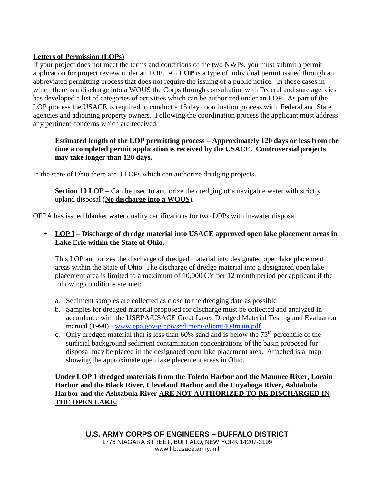# **Letters of Permission (LOPs)**

If your project does not meet the terms and conditions of the two NWPs, you must submit a permit application for project review under an LOP. An **LOP** is a type of individual permit issued through an abbreviated permitting process that does not require the issuing of a public notice. In those cases in which there is a discharge into a WOUS the Corps through consultation with Federal and state agencies has developed a list of categories of activities which can be authorized under an LOP. As part of the LOP process the USACE is required to conduct a 15 day coordination process with Federal and State agencies and adjoining property owners. Following the coordination process the applicant must address any pertinent concerns which are received.

#### **Estimated length of the LOP permitting process – Approximately 120 days or less from the time a completed permit application is received by the USACE. Controversial projects may take longer than 120 days.**

In the state of Ohio there are 3 LOPs which can authorize dredging projects.

**Section 10 LOP** – Can be used to authorize the dredging of a navigable water with strictly upland disposal (**No discharge into a WOUS**).

OEPA has issued blanket water quality certifications for two LOPs with in-water disposal.

• **LOP I – Discharge of dredge material into USACE approved open lake placement areas in Lake Erie within the State of Ohio.**

This LOP authorizes the discharge of dredged material into designated open lake placement areas within the State of Ohio. The discharge of dredge material into a designated open lake placement area is limited to a maximum of 10,000 CY per 12 month period per applicant if the following conditions are met:

- a. Sediment samples are collected as close to the dredging date as possible
- b. Samples for dredged material proposed for discharge must be collected and analyzed in accordance with the USEPA/USACE Great Lakes Dredged Material Testing and Evaluation manual (1998) - [www.epa.gov/glnpo/sediment/gltem/404main.pdf](http://www.epa.gov/glnpo/sediment/gltem/404main.pdf)
- c. Only dredged material that is less than  $60\%$  sand and is below the  $75<sup>th</sup>$  percentile of the surficial background sediment contamination concentrations of the basin proposed for disposal may be placed in the designated open lake placement area. Attached is a map showing the approximate open lake placement areas in Ohio.

**Under LOP 1 dredged materials from the Toledo Harbor and the Maumee River, Lorain Harbor and the Black River, Cleveland Harbor and the Cuyahoga River, Ashtabula Harbor and the Ashtabula River ARE NOT AUTHORIZED TO BE DISCHARGED IN THE OPEN LAKE.**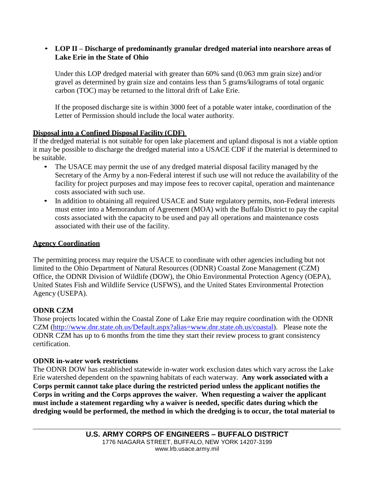#### • **LOP II – Discharge of predominantly granular dredged material into nearshore areas of Lake Erie in the State of Ohio**

Under this LOP dredged material with greater than 60% sand (0.063 mm grain size) and/or gravel as determined by grain size and contains less than 5 grams/kilograms of total organic carbon (TOC) may be returned to the littoral drift of Lake Erie.

If the proposed discharge site is within 3000 feet of a potable water intake, coordination of the Letter of Permission should include the local water authority.

# **Disposal into a Confined Disposal Facility (CDF)**

If the dredged material is not suitable for open lake placement and upland disposal is not a viable option it may be possible to discharge the dredged material into a USACE CDF if the material is determined to be suitable.

- The USACE may permit the use of any dredged material disposal facility managed by the Secretary of the Army by a non-Federal interest if such use will not reduce the availability of the facility for project purposes and may impose fees to recover capital, operation and maintenance costs associated with such use.
- In addition to obtaining all required USACE and State regulatory permits, non-Federal interests must enter into a Memorandum of Agreement (MOA) with the Buffalo District to pay the capital costs associated with the capacity to be used and pay all operations and maintenance costs associated with their use of the facility.

#### **Agency Coordination**

The permitting process may require the USACE to coordinate with other agencies including but not limited to the Ohio Department of Natural Resources (ODNR) Coastal Zone Management (CZM) Office, the ODNR Division of Wildlife (DOW), the Ohio Environmental Protection Agency (OEPA), United States Fish and Wildlife Service (USFWS), and the United States Environmental Protection Agency (USEPA).

# **ODNR CZM**

Those projects located within the Coastal Zone of Lake Erie may require coordination with the ODNR CZM (http://www.dnr.state.oh.us/Default.aspx?alias[=www.dnr.state.oh.us/coastal\).](http://www.dnr.state.oh.us/coastal)) Please note the ODNR CZM has up to 6 months from the time they start their review process to grant consistency certification.

#### **ODNR in-water work restrictions**

The ODNR DOW has established statewide in-water work exclusion dates which vary across the Lake Erie watershed dependent on the spawning habitats of each waterway. **Any work associated with a Corps permit cannot take place during the restricted period unless the applicant notifies the Corps in writing and the Corps approves the waiver. When requesting a waiver the applicant must include a statement regarding why a waiver is needed, specific dates during which the dredging would be performed, the method in which the dredging is to occur, the total material to**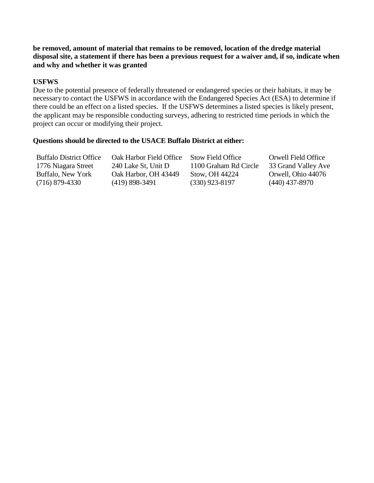#### **be removed, amount of material that remains to be removed, location of the dredge material disposal site, a statement if there has been a previous request for a waiver and, if so, indicate when and why and whether it was granted**

#### **USFWS**

Due to the potential presence of federally threatened or endangered species or their habitats, it may be necessary to contact the USFWS in accordance with the Endangered Species Act (ESA) to determine if there could be an effect on a listed species. If the USFWS determines a listed species is likely present, the applicant may be responsible conducting surveys, adhering to restricted time periods in which the project can occur or modifying their project.

#### **Questions should be directed to the USACE Buffalo District at either:**

| <b>Buffalo District Office</b> | Oak Harbor Field Office | <b>Stow Field Office</b> | Orwell Field Of  |
|--------------------------------|-------------------------|--------------------------|------------------|
| 1776 Niagara Street            | 240 Lake St, Unit D     | 1100 Graham Rd Circle    | 33 Grand Valle   |
| Buffalo, New York              | Oak Harbor, OH 43449    | Stow, OH 44224           | Orwell, Ohio 44  |
| $(716)$ 879-4330               | $(419)$ 898-3491        | $(330)$ 923-8197         | $(440)$ 437-8970 |

l Field Office nd Valley Ave l, Ohio 44076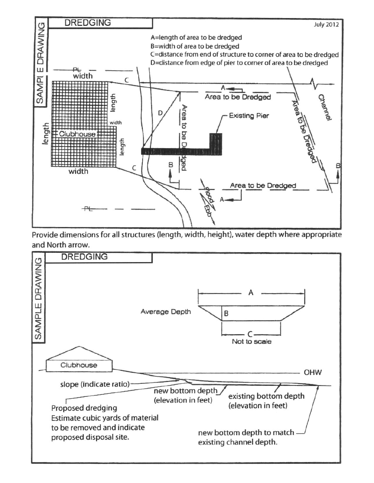

Provide dimensions for all structures (length, width, height), water depth where appropriate and North arrow.

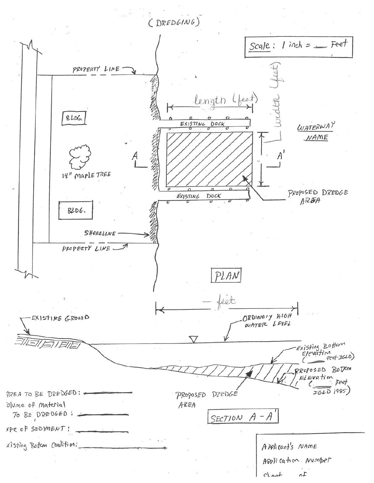